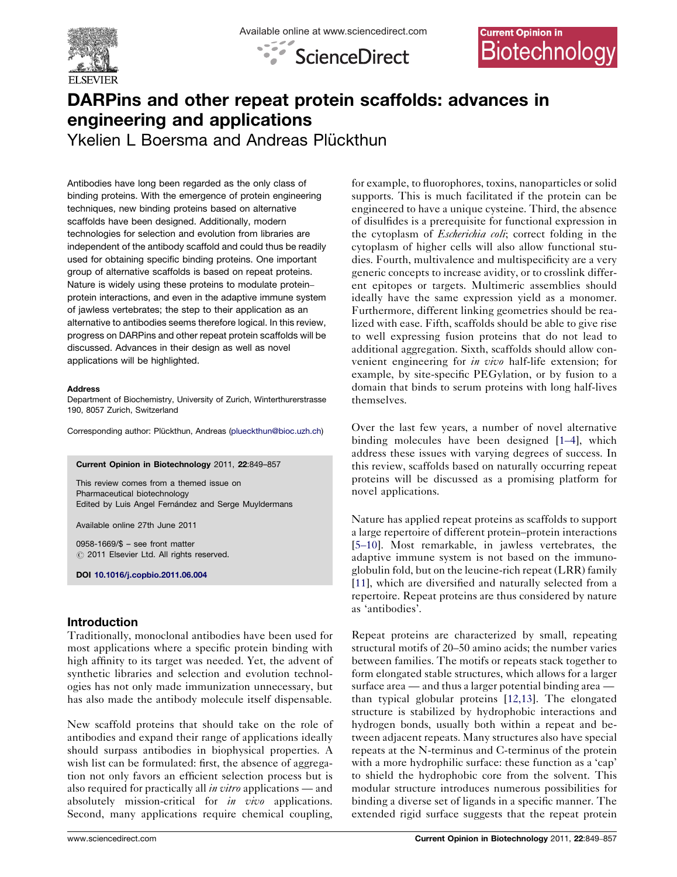





# DARPins and other repeat protein scaffolds: advances in engineering and applications

Ykelien L Boersma and Andreas Plückthun

Antibodies have long been regarded as the only class of binding proteins. With the emergence of protein engineering techniques, new binding proteins based on alternative scaffolds have been designed. Additionally, modern technologies for selection and evolution from libraries are independent of the antibody scaffold and could thus be readily used for obtaining specific binding proteins. One important group of alternative scaffolds is based on repeat proteins. Nature is widely using these proteins to modulate protein– protein interactions, and even in the adaptive immune system of jawless vertebrates; the step to their application as an alternative to antibodies seems therefore logical. In this review, progress on DARPins and other repeat protein scaffolds will be discussed. Advances in their design as well as novel applications will be highlighted.

#### Address

Department of Biochemistry, University of Zurich, Winterthurerstrasse 190, 8057 Zurich, Switzerland

Corresponding author: Plückthun, Andreas [\(plueckthun@bioc.uzh.ch\)](mailto:plueckthun@bioc.uzh.ch)

#### Current Opinion in Biotechnology 2011, 22:849–857

This review comes from a themed issue on Pharmaceutical biotechnology Edited by Luis Angel Fernández and Serge Muyldermans

Available online 27th June 2011

0958-1669/\$ – see front matter  $\oslash$  2011 Elsevier Ltd. All rights reserved.

DOI [10.1016/j.copbio.2011.06.004](http://dx.doi.org/10.1016/j.copbio.2011.06.004)

# Introduction

Traditionally, monoclonal antibodies have been used for most applications where a specific protein binding with high affinity to its target was needed. Yet, the advent of synthetic libraries and selection and evolution technologies has not only made immunization unnecessary, but has also made the antibody molecule itself dispensable.

New scaffold proteins that should take on the role of antibodies and expand their range of applications ideally should surpass antibodies in biophysical properties. A wish list can be formulated: first, the absence of aggregation not only favors an efficient selection process but is also required for practically all *in vitro* applications — and absolutely mission-critical for *in vivo* applications. Second, many applications require chemical coupling,

for example, to fluorophores, toxins, nanoparticles or solid supports. This is much facilitated if the protein can be engineered to have a unique cysteine. Third, the absence of disulfides is a prerequisite for functional expression in the cytoplasm of *Escherichia coli*; correct folding in the cytoplasm of higher cells will also allow functional studies. Fourth, multivalence and multispecificity are a very generic concepts to increase avidity, or to crosslink different epitopes or targets. Multimeric assemblies should ideally have the same expression yield as a monomer. Furthermore, different linking geometries should be realized with ease. Fifth, scaffolds should be able to give rise to well expressing fusion proteins that do not lead to additional aggregation. Sixth, scaffolds should allow convenient engineering for *in vivo* half-life extension; for example, by site-specific PEGylation, or by fusion to a domain that binds to serum proteins with long half-lives themselves.

Over the last few years, a number of novel alternative binding molecules have been designed [\[1](#page-6-0)–4], which address these issues with varying degrees of success. In this review, scaffolds based on naturally occurring repeat proteins will be discussed as a promising platform for novel applications.

Nature has applied repeat proteins as scaffolds to support a large repertoire of different protein–protein interactions [5–[10](#page-6-0)]. Most remarkable, in jawless vertebrates, the adaptive immune system is not based on the immunoglobulin fold, but on the leucine-rich repeat (LRR) family [[11](#page-6-0)], which are diversified and naturally selected from a repertoire. Repeat proteins are thus considered by nature as 'antibodies'.

Repeat proteins are characterized by small, repeating structural motifs of 20–50 amino acids; the number varies between families. The motifs or repeats stack together to form elongated stable structures, which allows for a larger surface area — and thus a larger potential binding area than typical globular proteins [\[12,13\]](#page-6-0). The elongated structure is stabilized by hydrophobic interactions and hydrogen bonds, usually both within a repeat and between adjacent repeats. Many structures also have special repeats at the N-terminus and C-terminus of the protein with a more hydrophilic surface: these function as a 'cap' to shield the hydrophobic core from the solvent. This modular structure introduces numerous possibilities for binding a diverse set of ligands in a specific manner. The extended rigid surface suggests that the repeat protein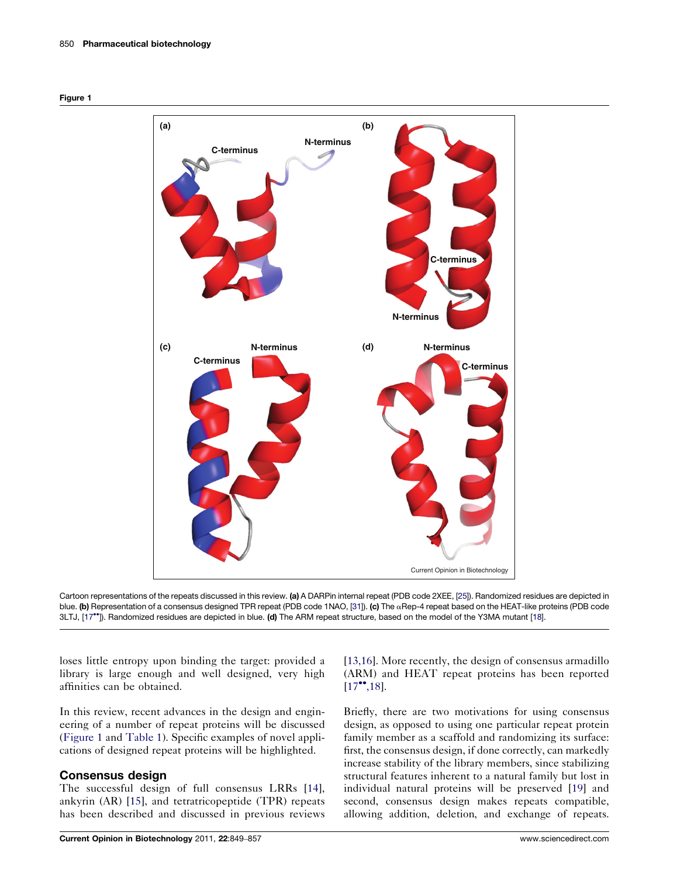





loses little entropy upon binding the target: provided a library is large enough and well designed, very high affinities can be obtained.

In this review, recent advances in the design and engineering of a number of repeat proteins will be discussed (Figure 1 and [Table](#page-2-0) 1). Specific examples of novel applications of designed repeat proteins will be highlighted.

## Consensus design

The successful design of full consensus LRRs [\[14](#page-6-0)], ankyrin (AR) [[15\]](#page-6-0), and tetratricopeptide (TPR) repeats has been described and discussed in previous reviews

[\[13,16\]](#page-6-0). More recently, the design of consensus armadillo (ARM) and HEAT repeat proteins has been reported  $[17^{\bullet\bullet}, 18]$  $[17^{\bullet\bullet}, 18]$ .

Briefly, there are two motivations for using consensus design, as opposed to using one particular repeat protein family member as a scaffold and randomizing its surface: first, the consensus design, if done correctly, can markedly increase stability of the library members, since stabilizing structural features inherent to a natural family but lost in individual natural proteins will be preserved [[19](#page-6-0)] and second, consensus design makes repeats compatible, allowing addition, deletion, and exchange of repeats.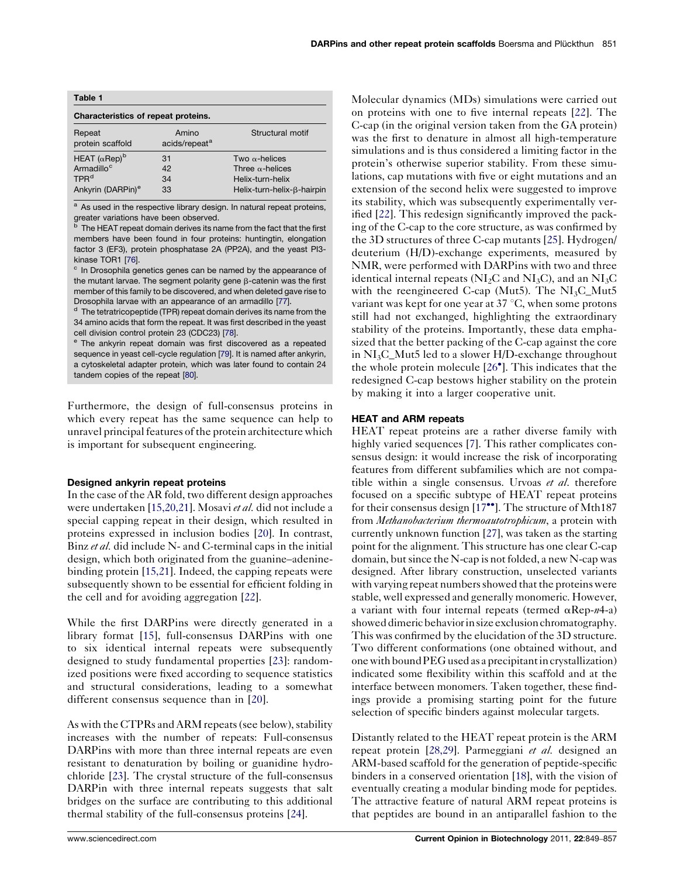<span id="page-2-0"></span>

| Table 1<br>Characteristics of repeat proteins. |    |                            |
|------------------------------------------------|----|----------------------------|
|                                                |    |                            |
| HEAT $(\alpha$ Rep) <sup>b</sup>               | 31 | Two $\alpha$ -helices      |
| Armadillo <sup>c</sup>                         | 42 | Three $\alpha$ -helices    |
| TPR <sup>d</sup>                               | 34 | Helix-turn-helix           |
| Ankyrin (DARPin) <sup>e</sup>                  | 33 | Helix-turn-helix-ß-hairpin |

a As used in the respective library design. In natural repeat proteins,

greater variations have been observed.<br><sup>b</sup> The HEAT repeat domain derives its name from the fact that the first members have been found in four proteins: huntingtin, elongation factor 3 (EF3), protein phosphatase 2A (PP2A), and the yeast PI3 kinase TOR1 [[76\]](#page-8-0).

 $\textdegree$  In Drosophila genetics genes can be named by the appearance of the mutant larvae. The segment polarity gene  $\beta$ -catenin was the first member of this family to be discovered, and when deleted gave rise to Drosophila larvae with an appearance of an armadillo [[77](#page-8-0)].

<sup>d</sup> The tetratricopeptide (TPR) repeat domain derives its name from the 34 amino acids that form the repeat. It was first described in the yeast cell division control protein 23 (CDC23) [\[78\]](#page-8-0).

<sup>e</sup> The ankyrin repeat domain was first discovered as a repeated sequence in yeast cell-cycle regulation [\[79\]](#page-8-0). It is named after ankyrin, a cytoskeletal adapter protein, which was later found to contain 24 tandem copies of the repeat [\[80\]](#page-8-0).

Furthermore, the design of full-consensus proteins in which every repeat has the same sequence can help to unravel principal features of the protein architecture which is important for subsequent engineering.

#### Designed ankyrin repeat proteins

In the case of the AR fold, two different design approaches were undertaken [[15,20,21](#page-6-0)]. Mosavi et al. did not include a special capping repeat in their design, which resulted in proteins expressed in inclusion bodies [\[20\]](#page-6-0). In contrast, Binz et al. did include N- and C-terminal caps in the initial design, which both originated from the guanine–adeninebinding protein [[15,21\]](#page-6-0). Indeed, the capping repeats were subsequently shown to be essential for efficient folding in the cell and for avoiding aggregation [\[22](#page-6-0)].

While the first DARPins were directly generated in a library format [[15\]](#page-6-0), full-consensus DARPins with one to six identical internal repeats were subsequently designed to study fundamental properties [[23\]](#page-6-0): randomized positions were fixed according to sequence statistics and structural considerations, leading to a somewhat different consensus sequence than in [[20](#page-6-0)].

As with the CTPRs and ARM repeats (see below), stability increases with the number of repeats: Full-consensus DARPins with more than three internal repeats are even resistant to denaturation by boiling or guanidine hydrochloride [[23](#page-6-0)]. The crystal structure of the full-consensus DARPin with three internal repeats suggests that salt bridges on the surface are contributing to this additional thermal stability of the full-consensus proteins [\[24\]](#page-6-0).

Molecular dynamics (MDs) simulations were carried out on proteins with one to five internal repeats [\[22](#page-6-0)]. The C-cap (in the original version taken from the GA protein) was the first to denature in almost all high-temperature simulations and is thus considered a limiting factor in the protein's otherwise superior stability. From these simulations, cap mutations with five or eight mutations and an extension of the second helix were suggested to improve its stability, which was subsequently experimentally verified [[22\]](#page-6-0). This redesign significantly improved the packing of the C-cap to the core structure, as was confirmed by the 3D structures of three C-cap mutants [\[25](#page-6-0)]. Hydrogen/ deuterium (H/D)-exchange experiments, measured by NMR, were performed with DARPins with two and three identical internal repeats ( $NI<sub>2</sub>Cl$  and  $NI<sub>3</sub>Cl$ ), and an  $NI<sub>3</sub>Cl$ with the reengineered C-cap (Mut5). The  $NI<sub>3</sub>C_M$ Mut5 variant was kept for one year at 37  $\mathrm{^{\circ}C},$  when some protons still had not exchanged, highlighting the extraordinary stability of the proteins. Importantly, these data emphasized that the better packing of the C-cap against the core in NI3C\_Mut5 led to a slower H/D-exchange throughout the whole protein molecule [\[26](#page-6-0)<sup>°</sup>]. This indicates that the redesigned C-cap bestows higher stability on the protein by making it into a larger cooperative unit.

#### HEAT and ARM repeats

HEAT repeat proteins are a rather diverse family with highly varied sequences [[7\]](#page-6-0). This rather complicates consensus design: it would increase the risk of incorporating features from different subfamilies which are not compatible within a single consensus. Urvoas *et al.* therefore focused on a specific subtype of HEAT repeat proteins for their consensus design [\[17](#page-6-0)<sup>••</sup>]. The structure of Mth187 from Methanobacterium thermoautotrophicum, a protein with currently unknown function [\[27\]](#page-6-0), was taken as the starting point for the alignment. This structure has one clear C-cap domain, but since the N-cap is not folded, a new N-cap was designed. After library construction, unselected variants with varying repeat numbers showed that the proteins were stable, well expressed and generally monomeric. However, a variant with four internal repeats (termed  $\alpha$ Rep-*n*4-a) showed dimeric behavior in size exclusion chromatography. This was confirmed by the elucidation of the 3D structure. Two different conformations (one obtained without, and one with bound PEG used as a precipitant in crystallization) indicated some flexibility within this scaffold and at the interface between monomers. Taken together, these findings provide a promising starting point for the future selection of specific binders against molecular targets.

Distantly related to the HEAT repeat protein is the ARM repeat protein [\[28,29](#page-6-0)]. Parmeggiani et al. designed an ARM-based scaffold for the generation of peptide-specific binders in a conserved orientation [[18](#page-6-0)], with the vision of eventually creating a modular binding mode for peptides. The attractive feature of natural ARM repeat proteins is that peptides are bound in an antiparallel fashion to the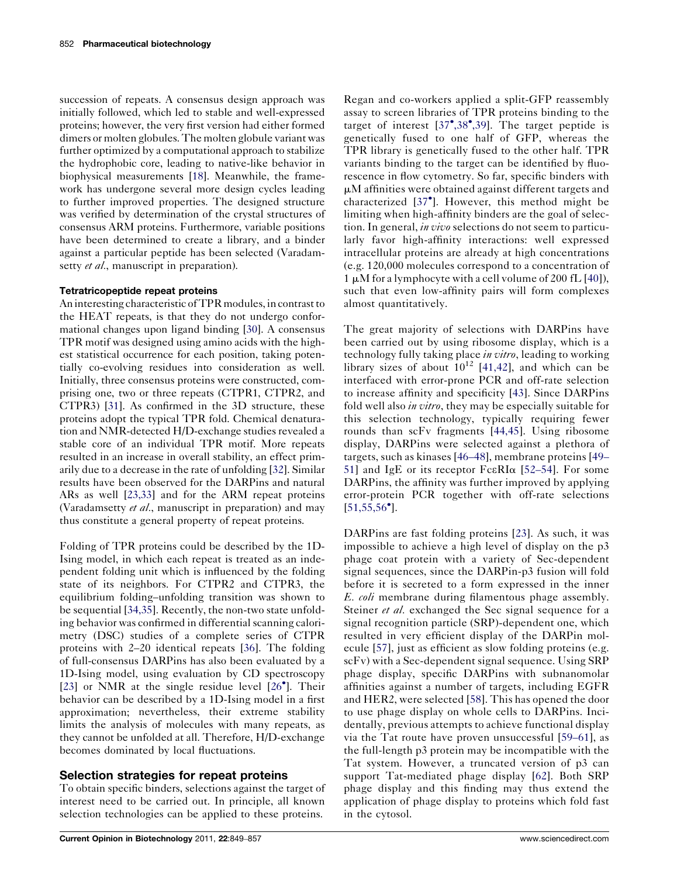succession of repeats. A consensus design approach was initially followed, which led to stable and well-expressed proteins; however, the very first version had either formed dimers or molten globules. The molten globule variant was further optimized by a computational approach to stabilize the hydrophobic core, leading to native-like behavior in biophysical measurements [\[18\]](#page-6-0). Meanwhile, the framework has undergone several more design cycles leading to further improved properties. The designed structure was verified by determination of the crystal structures of consensus ARM proteins. Furthermore, variable positions have been determined to create a library, and a binder against a particular peptide has been selected (Varadamsetty et al., manuscript in preparation).

### Tetratricopeptide repeat proteins

An interesting characteristic of TPR modules, in contrast to the HEAT repeats, is that they do not undergo conformational changes upon ligand binding [\[30\]](#page-6-0). A consensus TPR motif was designed using amino acids with the highest statistical occurrence for each position, taking potentially co-evolving residues into consideration as well. Initially, three consensus proteins were constructed, comprising one, two or three repeats (CTPR1, CTPR2, and CTPR3) [[31\]](#page-6-0). As confirmed in the 3D structure, these proteins adopt the typical TPR fold. Chemical denaturation and NMR-detected H/D-exchange studies revealed a stable core of an individual TPR motif. More repeats resulted in an increase in overall stability, an effect primarily due to a decrease in the rate of unfolding [[32\]](#page-6-0). Similar results have been observed for the DARPins and natural ARs as well [\[23,33](#page-6-0)] and for the ARM repeat proteins (Varadamsetty et al., manuscript in preparation) and may thus constitute a general property of repeat proteins.

Folding of TPR proteins could be described by the 1D-Ising model, in which each repeat is treated as an independent folding unit which is influenced by the folding state of its neighbors. For CTPR2 and CTPR3, the equilibrium folding–unfolding transition was shown to be sequential [\[34,35\]](#page-6-0). Recently, the non-two state unfolding behavior was confirmed in differential scanning calorimetry (DSC) studies of a complete series of CTPR proteins with 2–20 identical repeats [[36\]](#page-6-0). The folding of full-consensus DARPins has also been evaluated by a 1D-Ising model, using evaluation by CD spectroscopy [\[23](#page-6-0)] or NMR at the single residue level [\[26](#page-6-0)<sup>°</sup>]. Their behavior can be described by a 1D-Ising model in a first approximation; nevertheless, their extreme stability limits the analysis of molecules with many repeats, as they cannot be unfolded at all. Therefore, H/D-exchange becomes dominated by local fluctuations.

# Selection strategies for repeat proteins

To obtain specific binders, selections against the target of interest need to be carried out. In principle, all known selection technologies can be applied to these proteins.

Regan and co-workers applied a split-GFP reassembly assay to screen libraries of TPR proteins binding to the target of interest  $[37^{\bullet}, 38^{\bullet}, 39]$  $[37^{\bullet}, 38^{\bullet}, 39]$  $[37^{\bullet}, 38^{\bullet}, 39]$ . The target peptide is genetically fused to one half of GFP, whereas the TPR library is genetically fused to the other half. TPR variants binding to the target can be identified by fluorescence in flow cytometry. So far, specific binders with  $\mu$ M affinities were obtained against different targets and characterized [\[37](#page-6-0)<sup>°</sup>]. However, this method might be limiting when high-affinity binders are the goal of selection. In general, in vivo selections do not seem to particularly favor high-affinity interactions: well expressed intracellular proteins are already at high concentrations (e.g. 120,000 molecules correspond to a concentration of 1  $\mu$ M for a lymphocyte with a cell volume of 200 fL [[40\]](#page-7-0)), such that even low-affinity pairs will form complexes almost quantitatively.

The great majority of selections with DARPins have been carried out by using ribosome display, which is a technology fully taking place in vitro, leading to working library sizes of about  $10^{12}$  [[41,42\]](#page-7-0), and which can be interfaced with error-prone PCR and off-rate selection to increase affinity and specificity [[43](#page-7-0)]. Since DARPins fold well also *in vitro*, they may be especially suitable for this selection technology, typically requiring fewer rounds than scFv fragments [[44,45](#page-7-0)]. Using ribosome display, DARPins were selected against a plethora of targets, such as kinases [[46](#page-7-0)–48], membrane proteins [\[49](#page-7-0)– [51](#page-7-0)] and IgE or its receptor  $Fc\in RI\alpha$  [52–[54](#page-7-0)]. For some DARPins, the affinity was further improved by applying error-protein PCR together with off-rate selections  $[51, 55, 56^{\circ}].$ 

DARPins are fast folding proteins [[23\]](#page-6-0). As such, it was impossible to achieve a high level of display on the p3 phage coat protein with a variety of Sec-dependent signal sequences, since the DARPin-p3 fusion will fold before it is secreted to a form expressed in the inner E. coli membrane during filamentous phage assembly. Steiner *et al.* exchanged the Sec signal sequence for a signal recognition particle (SRP)-dependent one, which resulted in very efficient display of the DARPin molecule [[57\]](#page-7-0), just as efficient as slow folding proteins (e.g. scFv) with a Sec-dependent signal sequence. Using SRP phage display, specific DARPins with subnanomolar affinities against a number of targets, including EGFR and HER2, were selected [\[58\]](#page-7-0). This has opened the door to use phage display on whole cells to DARPins. Incidentally, previous attempts to achieve functional display via the Tat route have proven unsuccessful [59–[61\]](#page-7-0), as the full-length p3 protein may be incompatible with the Tat system. However, a truncated version of p3 can support Tat-mediated phage display [[62\]](#page-7-0). Both SRP phage display and this finding may thus extend the application of phage display to proteins which fold fast in the cytosol.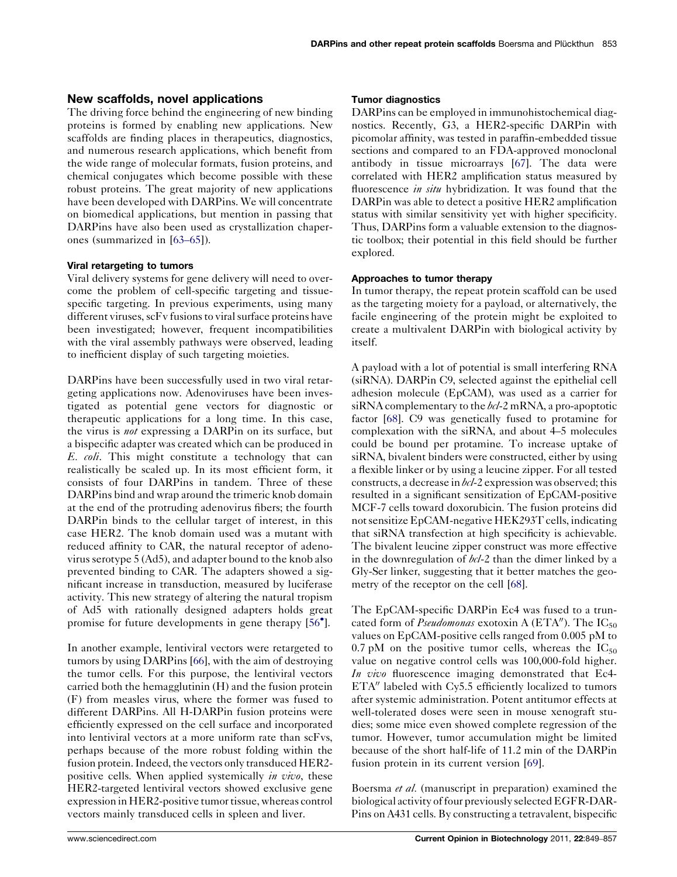## New scaffolds, novel applications

The driving force behind the engineering of new binding proteins is formed by enabling new applications. New scaffolds are finding places in therapeutics, diagnostics, and numerous research applications, which benefit from the wide range of molecular formats, fusion proteins, and chemical conjugates which become possible with these robust proteins. The great majority of new applications have been developed with DARPins. We will concentrate on biomedical applications, but mention in passing that DARPins have also been used as crystallization chaperones (summarized in [63–[65\]](#page-7-0)).

### Viral retargeting to tumors

Viral delivery systems for gene delivery will need to overcome the problem of cell-specific targeting and tissuespecific targeting. In previous experiments, using many different viruses, scFv fusions to viral surface proteins have been investigated; however, frequent incompatibilities with the viral assembly pathways were observed, leading to inefficient display of such targeting moieties.

DARPins have been successfully used in two viral retargeting applications now. Adenoviruses have been investigated as potential gene vectors for diagnostic or therapeutic applications for a long time. In this case, the virus is *not* expressing a DARP in on its surface, but a bispecific adapter was created which can be produced in E. coli. This might constitute a technology that can realistically be scaled up. In its most efficient form, it consists of four DARPins in tandem. Three of these DARPins bind and wrap around the trimeric knob domain at the end of the protruding adenovirus fibers; the fourth DARPin binds to the cellular target of interest, in this case HER2. The knob domain used was a mutant with reduced affinity to CAR, the natural receptor of adenovirus serotype 5 (Ad5), and adapter bound to the knob also prevented binding to CAR. The adapters showed a significant increase in transduction, measured by luciferase activity. This new strategy of altering the natural tropism of Ad5 with rationally designed adapters holds great promise for future developments in gene therapy [[56](#page-7-0)<sup>°</sup>].

In another example, lentiviral vectors were retargeted to tumors by using DARPins [[66\]](#page-7-0), with the aim of destroying the tumor cells. For this purpose, the lentiviral vectors carried both the hemagglutinin (H) and the fusion protein (F) from measles virus, where the former was fused to different DARPins. All H-DARPin fusion proteins were efficiently expressed on the cell surface and incorporated into lentiviral vectors at a more uniform rate than scFvs, perhaps because of the more robust folding within the fusion protein. Indeed, the vectors only transduced HER2positive cells. When applied systemically in vivo, these HER2-targeted lentiviral vectors showed exclusive gene expression in HER2-positive tumor tissue, whereas control vectors mainly transduced cells in spleen and liver.

### Tumor diagnostics

DARPins can be employed in immunohistochemical diagnostics. Recently, G3, a HER2-specific DARPin with picomolar affinity, was tested in paraffin-embedded tissue sections and compared to an FDA-approved monoclonal antibody in tissue microarrays [[67\]](#page-7-0). The data were correlated with HER2 amplification status measured by fluorescence *in situ* hybridization. It was found that the DARPin was able to detect a positive HER2 amplification status with similar sensitivity yet with higher specificity. Thus, DARPins form a valuable extension to the diagnostic toolbox; their potential in this field should be further explored.

### Approaches to tumor therapy

In tumor therapy, the repeat protein scaffold can be used as the targeting moiety for a payload, or alternatively, the facile engineering of the protein might be exploited to create a multivalent DARPin with biological activity by itself.

A payload with a lot of potential is small interfering RNA (siRNA). DARPin C9, selected against the epithelial cell adhesion molecule (EpCAM), was used as a carrier for siRNA complementary to the  $bcl-2$  mRNA, a pro-apoptotic factor [[68\]](#page-7-0). C9 was genetically fused to protamine for complexation with the siRNA, and about 4–5 molecules could be bound per protamine. To increase uptake of siRNA, bivalent binders were constructed, either by using a flexible linker or by using a leucine zipper. For all tested constructs, a decrease in  $\mathit{bcl-2}$  expression was observed; this resulted in a significant sensitization of EpCAM-positive MCF-7 cells toward doxorubicin. The fusion proteins did notsensitize EpCAM-negative HEK293T cells, indicating that siRNA transfection at high specificity is achievable. The bivalent leucine zipper construct was more effective in the downregulation of bcl-2 than the dimer linked by a Gly-Ser linker, suggesting that it better matches the geometry of the receptor on the cell [\[68](#page-7-0)].

The EpCAM-specific DARPin Ec4 was fused to a truncated form of *Pseudomonas* exotoxin A (ETA"). The  $IC_{50}$ values on EpCAM-positive cells ranged from 0.005 pM to 0.7 pM on the positive tumor cells, whereas the  $IC_{50}$ value on negative control cells was 100,000-fold higher. In vivo fluorescence imaging demonstrated that Ec4- $ETA''$  labeled with  $Cv5.5$  efficiently localized to tumors after systemic administration. Potent antitumor effects at well-tolerated doses were seen in mouse xenograft studies; some mice even showed complete regression of the tumor. However, tumor accumulation might be limited because of the short half-life of 11.2 min of the DARPin fusion protein in its current version [\[69](#page-7-0)].

Boersma et al. (manuscript in preparation) examined the biological activity of four previously selected EGFR-DAR-Pins on A431 cells. By constructing a tetravalent, bispecific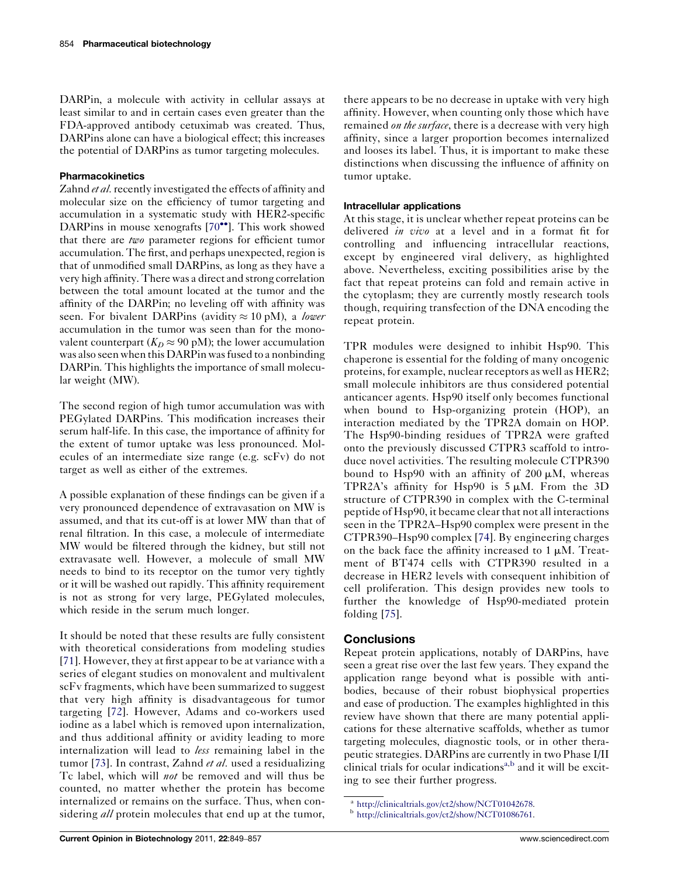DARPin, a molecule with activity in cellular assays at least similar to and in certain cases even greater than the FDA-approved antibody cetuximab was created. Thus, DARPins alone can have a biological effect; this increases the potential of DARPins as tumor targeting molecules.

## **Pharmacokinetics**

Zahnd *et al.* recently investigated the effects of affinity and molecular size on the efficiency of tumor targeting and accumulation in a systematic study with HER2-specific DARPins in mouse xenografts [\[70](#page-7-0)<sup>••</sup>]. This work showed that there are two parameter regions for efficient tumor accumulation. The first, and perhaps unexpected, region is that of unmodified small DARPins, as long as they have a very high affinity. There was a direct and strong correlation between the total amount located at the tumor and the affinity of the DARPin; no leveling off with affinity was seen. For bivalent DARPins (avidity  $\approx 10$  pM), a lower accumulation in the tumor was seen than for the monovalent counterpart ( $K_D \approx 90$  pM); the lower accumulation was also seen when this DARPin was fused to a nonbinding DARPin. This highlights the importance of small molecular weight (MW).

The second region of high tumor accumulation was with PEGylated DARPins. This modification increases their serum half-life. In this case, the importance of affinity for the extent of tumor uptake was less pronounced. Molecules of an intermediate size range (e.g. scFv) do not target as well as either of the extremes.

A possible explanation of these findings can be given if a very pronounced dependence of extravasation on MW is assumed, and that its cut-off is at lower MW than that of renal filtration. In this case, a molecule of intermediate MW would be filtered through the kidney, but still not extravasate well. However, a molecule of small MW needs to bind to its receptor on the tumor very tightly or it will be washed out rapidly. This affinity requirement is not as strong for very large, PEGylated molecules, which reside in the serum much longer.

It should be noted that these results are fully consistent with theoretical considerations from modeling studies [\[71](#page-7-0)]. However, they at first appear to be at variance with a series of elegant studies on monovalent and multivalent scFv fragments, which have been summarized to suggest that very high affinity is disadvantageous for tumor targeting [[72\]](#page-7-0). However, Adams and co-workers used iodine as a label which is removed upon internalization, and thus additional affinity or avidity leading to more internalization will lead to *less* remaining label in the tumor [[73](#page-8-0)]. In contrast, Zahnd *et al.* used a residualizing Tc label, which will not be removed and will thus be counted, no matter whether the protein has become internalized or remains on the surface. Thus, when considering *all* protein molecules that end up at the tumor,

there appears to be no decrease in uptake with very high affinity. However, when counting only those which have remained *on the surface*, there is a decrease with very high affinity, since a larger proportion becomes internalized and looses its label. Thus, it is important to make these distinctions when discussing the influence of affinity on tumor uptake.

## Intracellular applications

At this stage, it is unclear whether repeat proteins can be delivered in vivo at a level and in a format fit for controlling and influencing intracellular reactions, except by engineered viral delivery, as highlighted above. Nevertheless, exciting possibilities arise by the fact that repeat proteins can fold and remain active in the cytoplasm; they are currently mostly research tools though, requiring transfection of the DNA encoding the repeat protein.

TPR modules were designed to inhibit Hsp90. This chaperone is essential for the folding of many oncogenic proteins, for example, nuclear receptors as well as HER2; small molecule inhibitors are thus considered potential anticancer agents. Hsp90 itself only becomes functional when bound to Hsp-organizing protein (HOP), an interaction mediated by the TPR2A domain on HOP. The Hsp90-binding residues of TPR2A were grafted onto the previously discussed CTPR3 scaffold to introduce novel activities. The resulting molecule CTPR390 bound to Hsp90 with an affinity of  $200 \mu M$ , whereas TPR2A's affinity for Hsp90 is  $5 \mu$ M. From the 3D structure of CTPR390 in complex with the C-terminal peptide of Hsp90, it became clear that not all interactions seen in the TPR2A–Hsp90 complex were present in the CTPR390–Hsp90 complex [[74](#page-8-0)]. By engineering charges on the back face the affinity increased to  $1 \mu M$ . Treatment of BT474 cells with CTPR390 resulted in a decrease in HER2 levels with consequent inhibition of cell proliferation. This design provides new tools to further the knowledge of Hsp90-mediated protein folding [\[75](#page-8-0)].

# **Conclusions**

Repeat protein applications, notably of DARPins, have seen a great rise over the last few years. They expand the application range beyond what is possible with antibodies, because of their robust biophysical properties and ease of production. The examples highlighted in this review have shown that there are many potential applications for these alternative scaffolds, whether as tumor targeting molecules, diagnostic tools, or in other therapeutic strategies. DARPins are currently in two Phase I/II clinical trials for ocular indications<sup>a,b</sup> and it will be exciting to see their further progress.

 $\mathrm{a}\atop\mathrm{b}\mathrm{http://clinical trials.gov/ct2/show/NCT01042678.}$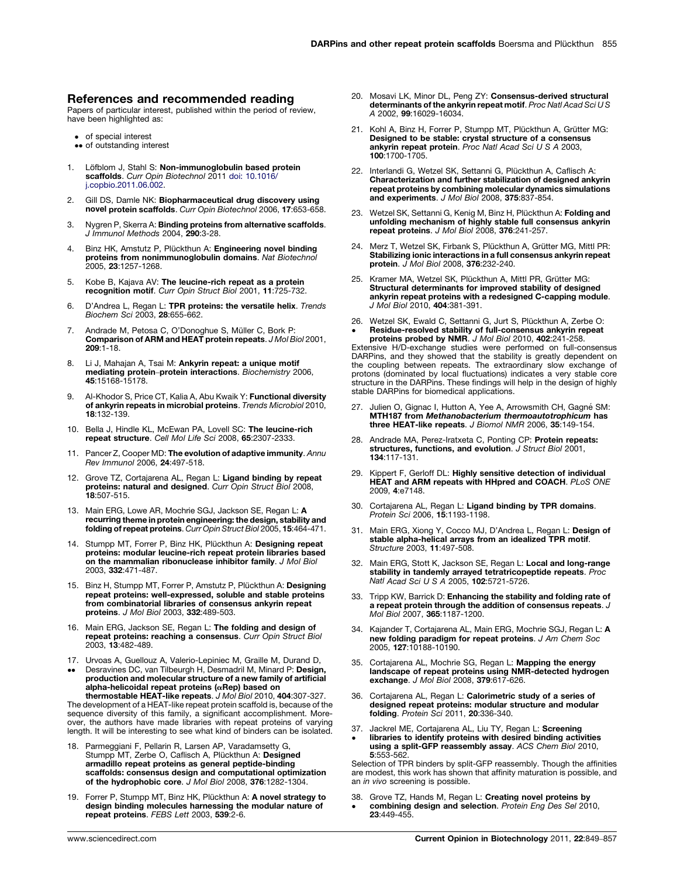#### <span id="page-6-0"></span>References and recommended reading

Papers of particular interest, published within the period of review, have been highlighted as:

- of special interest
- •• of outstanding interest
- 1. Löfblom J, Stahl S: **Non-immunoglobulin based protein**<br>**scaffolds**. Curr Opin Biotechnol 2011 doi: [10.1016/](http://dx.doi.org/10.1016/j.copbio.2011.06.002) [j.copbio.2011.06.002.](http://dx.doi.org/10.1016/j.copbio.2011.06.002)
- 2. Gill DS, Damle NK: Biopharmaceutical drug discovery using novel protein scaffolds. Curr Opin Biotechnol 2006, 17:653-658.
- 3. Nygren P, Skerra A: Binding proteins from alternative scaffolds. J Immunol Methods 2004, 290:3-28.
- 4. Binz HK, Amstutz P, Plückthun A: Engineering novel binding **proteins from nonimmunoglobulin domains**. *Nat Biotechnol*<br>2005, **23**:1257-1268.
- 5. Kobe B, Kajava AV: The leucine-rich repeat as a protein recognition motif. Curr Opin Struct Biol 2001, 11:725-732.
- 6. D'Andrea L, Regan L: TPR proteins: the versatile helix. Trends Biochem Sci 2003, 28:655-662.
- 7. Andrade M, Petosa C, O'Donoghue S, Müller C, Bork P: Comparison of ARM and HEAT protein repeats. J Mol Biol 2001, 209:1-18.
- 8. Li J, Mahajan A, Tsai M: Ankyrin repeat: a unique motif mediating protein–protein interactions. Biochemistry 2006, 45:15168-15178.
- 9. Al-Khodor S, Price CT, Kalia A, Abu Kwaik Y: Functional diversity of ankyrin repeats in microbial proteins. Trends Microbiol 2010, 18:132-139.
- 10. Bella J, Hindle KL, McEwan PA, Lovell SC: The leucine-rich repeat structure. Cell Mol Life Sci 2008, 65:2307-2333.
- 11. Pancer Z, Cooper MD: The evolution of adaptive immunity. Annu Rev Immunol 2006, 24:497-518.
- 12. Grove TZ, Cortajarena AL, Regan L: Ligand binding by repeat proteins: natural and designed. Curr Opin Struct Biol 2008, 18:507-515.
- 13. Main ERG, Lowe AR, Mochrie SGJ, Jackson SE, Regan L: A recurring theme in protein engineering: the design, stability and folding of repeat proteins. Curr Opin Struct Biol 2005, 15:464-471.
- 14. Stumpp MT, Forrer P, Binz HK, Plückthun A: Designing repeat proteins: modular leucine-rich repeat protein libraries based on the mammalian ribonuclease inhibitor family. J Mol Biol 2003, 332:471-487.
- 15. Binz H, Stumpp MT, Forrer P, Amstutz P, Plückthun A: Designing repeat proteins: well-expressed, soluble and stable proteins from combinatorial libraries of consensus ankyrin repeat proteins. J Mol Biol 2003, 332:489-503.
- 16. Main ERG, Jackson SE, Regan L: The folding and design of repeat proteins: reaching a consensus. Curr Opin Struct Biol 2003, 13:482-489.
- 17. Urvoas A, Guellouz A, Valerio-Lepiniec M, Graille M, Durand D,
- $\bullet$ -Desravines DC, van Tilbeurgh H, Desmadril M, Minard P: Design, production and molecular structure of a new family of artificial alpha-helicoidal repeat proteins ( $\alpha$ Rep) based on

thermostable HEAT-like repeats. J Mol Biol 2010, 404:307-327. The development of a HEAT-like repeat protein scaffold is, because of the sequence diversity of this family, a significant accomplishment. Moreover, the authors have made libraries with repeat proteins of varying length. It will be interesting to see what kind of binders can be isolated.

- 18. Parmeggiani F, Pellarin R, Larsen AP, Varadamsetty G, Stumpp MT, Zerbe O, Caflisch A, Plückthun A: **Designed**<br>armadillo repeat proteins as general peptide-binding scaffolds: consensus design and computational optimization of the hydrophobic core. J Mol Biol 2008, 376:1282-1304
- 19. Forrer P, Stumpp MT, Binz HK, Plückthun A: A novel strategy to design binding molecules harnessing the modular nature of repeat proteins. FEBS Lett 2003, 539:2-6.
- 20. Mosavi LK, Minor DL, Peng ZY: Consensus-derived structural determinants of the ankyrin repeat motif. Proc Natl Acad Sci U S A 2002, 99:16029-16034.
- 21. Kohl A, Binz H, Forrer P, Stumpp MT, Plückthun A, Grütter MG:<br>**Designed to be stable: crystal structure of a consensus** ankyrin repeat protein. Proc Natl Acad Sci U S A 2003, 100:1700-1705.
- 22. Interlandi G, Wetzel SK, Settanni G, Plückthun A, Caflisch A: Characterization and further stabilization of designed ankyrin repeat proteins by combining molecular dynamics simulations and experiments. J Mol Biol 2008, 375:837-854.
- 23. Wetzel SK, Settanni G, Kenig M, Binz H, Plückthun A: Folding and unfolding mechanism of highly stable full consensus ankyrin<br>repeat proteins. J Mol Biol 2008, 376:241-257.
- 24. Merz T, Wetzel SK, Firbank S, Plückthun A, Grütter MG, Mittl PR: Stabilizing ionic interactions in a full consensus ankyrin repeat protein. J Mol Biol 2008, 376:232-240.
- 25. Kramer MA, Wetzel SK, Plückthun A, Mittl PR, Grütter MG: Structural determinants for improved stability of designed ankyrin repeat proteins with a redesigned C-capping module. J Mol Biol 2010, 404:381-391.
- 26. Wetzel SK, Ewald C, Settanni G, Jurt S, Plückthun A, Zerbe O: -Residue-resolved stability of full-consensus ankyrin repeat proteins probed by NMR. J Mol Biol 2010, 402:241-258.

Extensive H/D-exchange studies were performed on full-consensus DARPins, and they showed that the stability is greatly dependent on the coupling between repeats. The extraordinary slow exchange of protons (dominated by local fluctuations) indicates a very stable core structure in the DARPins. These findings will help in the design of highly stable DARPins for biomedical applications.

- 27. Julien O, Gignac I, Hutton A, Yee A, Arrowsmith CH, Gagné SM: MTH187 from Methanobacterium thermoautotrophicum has three HEAT-like repeats. J Biomol NMR 2006, 35:149-154.
- 28. Andrade MA, Perez-Iratxeta C, Ponting CP: Protein repeats: structures, functions, and evolution. J Struct Biol 2001, 134:117-131.
- 29. Kippert F, Gerloff DL: Highly sensitive detection of individual HEAT and ARM repeats with HHpred and COACH. PLoS ONE 2009, 4:e7148.
- 30. Cortajarena AL, Regan L: Ligand binding by TPR domains. Protein Sci 2006, **15**:1193-1198.
- 31. Main ERG, Xiong Y, Cocco MJ, D'Andrea L, Regan L: Design of stable alpha-helical arrays from an idealized TPR motif. Structure 2003, 11:497-508.
- 32. Main ERG, Stott K, Jackson SE, Regan L: Local and long-range stability in tandemly arrayed tetratricopeptide repeats. Proc Natl Acad Sci U S A 2005, 102:5721-5726.
- 33. Tripp KW, Barrick D: Enhancing the stability and folding rate of a repeat protein through the addition of consensus repeats. J Mol Biol 2007, 365:1187-1200.
- 34. Kajander T, Cortajarena AL, Main ERG, Mochrie SGJ, Regan L: A new folding paradigm for repeat proteins. J Am Chem Soc<br>2005, 127:10188-10190.
- 35. Cortajarena AL, Mochrie SG, Regan L: Mapping the energy landscape of repeat proteins using NMR-detected hydrogen exchange. J Mol Biol 2008, 379:617-626.
- 36. Cortajarena AL, Regan L: Calorimetric study of a series of designed repeat proteins: modular structure and modular folding. Protein Sci 2011, 20:336-340.
- 37. Jackrel ME, Cortajarena AL, Liu TY, Regan L: Screening libraries to identify proteins with desired binding activities
- using a split-GFP reassembly assay. ACS Chem Biol 2010, 5:553-562.

Selection of TPR binders by split-GFP reassembly. Though the affinities are modest, this work has shown that affinity maturation is possible, and an in vivo screening is possible.

- 38. Grove TZ, Hands M, Regan L: Creating novel proteins by
- combining design and selection. Protein Eng Des Sel 2010, 23:449-455.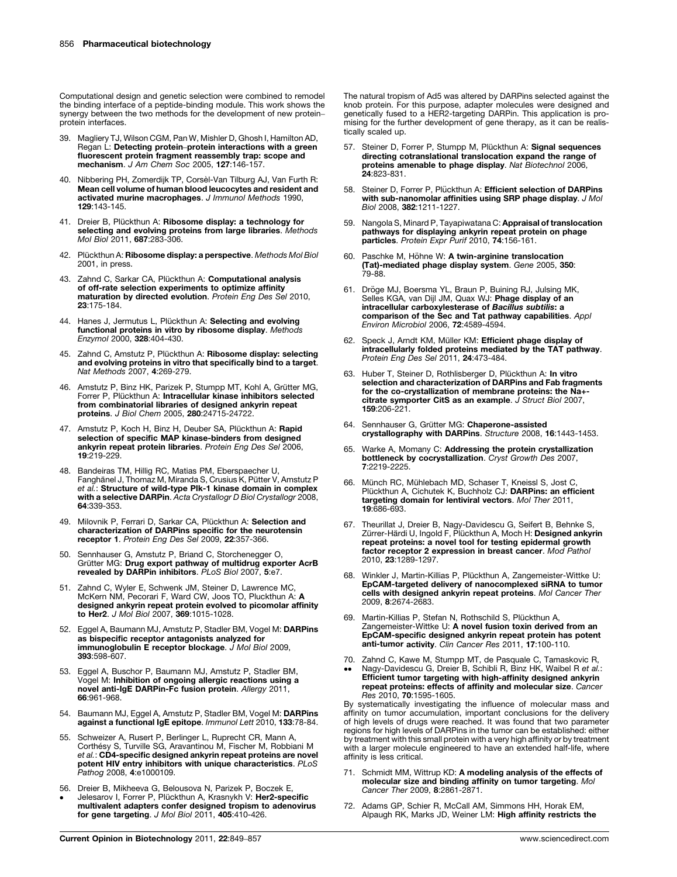<span id="page-7-0"></span>Computational design and genetic selection were combined to remodel the binding interface of a peptide-binding module. This work shows the synergy between the two methods for the development of new protein– protein interfaces.

- 39. Magliery TJ, Wilson CGM, Pan W, Mishler D, Ghosh I, Hamilton AD, Regan L: Detecting protein–protein interactions with a green fluorescent protein fragment reassembly trap: scope and mechanism. J Am Chem Soc 2005, 127:146-157.
- 40. Nibbering PH, Zomerdijk TP, Corsèl-Van Tilburg AJ, Van Furth R: Mean cell volume of human blood leucocytes and resident and activated murine macrophages. J Immunol Methods 1990, 129:143-145.
- 41. Dreier B, Plückthun A: Ribosome display: a technology for selecting and evolving proteins from large libraries. Methods Mol Biol 2011, 687:283-306.
- 42. Plückthun A: Ribosome display: a perspective. Methods Mol Biol 2001, in press.
- 43. Zahnd C, Sarkar CA, Plückthun A: Computational analysis of off-rate selection experiments to optimize affinity maturation by directed evolution. Protein Eng Des Sel 2010, 23:175-184.
- 44. Hanes J, Jermutus L, Plückthun A: Selecting and evolving functional proteins in vitro by ribosome display. Methods Enzymol 2000, 328:404-430.
- 45. Zahnd C, Amstutz P, Plückthun A: Ribosome display: selecting and evolving proteins in vitro that specifically bind to a target. Nat Methods 2007, 4:269-279.
- 46. Amstutz P, Binz HK, Parizek P, Stumpp MT, Kohl A, Grütter MG, Forrer P, Plückthun A: Intracellular kinase inhibitors selected from combinatorial libraries of designed ankyrin repeat proteins. J Biol Chem 2005, 280:24715-24722.
- 47. Amstutz P, Koch H, Binz H, Deuber SA, Plückthun A: Rapid selection of specific MAP kinase-binders from designed ankyrin repeat protein libraries. Protein Eng Des Sel 2006, 19:219-229.
- 48. Bandeiras TM, Hillig RC, Matias PM, Eberspaecher U, Fanghänel J, Thomaz M, Miranda S, Crusius K, Pütter V, Amstutz P et al.: Structure of wild-type Plk-1 kinase domain in complex with a selective DARPin. Acta Crystallogr D Biol Crystallogr 2008, 64:339-353.
- 49. Milovnik P, Ferrari D, Sarkar CA, Plückthun A: Selection and characterization of DARPins specific for the neurotensin receptor 1. Protein Eng Des Sel 2009, 22:357-366.
- 50. Sennhauser G, Amstutz P, Briand C, Storchenegger O, Grütter MG: Drug export pathway of multidrug exporter AcrB revealed by DARPin inhibitors. PLoS Biol 2007, 5:e7.
- 51. Zahnd C, Wyler E, Schwenk JM, Steiner D, Lawrence MC, McKern NM, Pecorari F, Ward CW, Joos TO, Pluckthun A: A designed ankyrin repeat protein evolved to picomolar affinity<br>to Her2. J *Mol Biol* 2007, 369:1015-1028.
- 52. Eggel A, Baumann MJ, Amstutz P, Stadler BM, Vogel M: DARPins as bispecific receptor antagonists analyzed for immunoglobulin E receptor blockage. J Mol Biol 2009, 393:598-607.
- 53. Eggel A, Buschor P, Baumann MJ, Amstutz P, Stadler BM, Vogel M: Inhibition of ongoing allergic reactions using a novel anti-IgE DARPin-Fc fusion protein. Allergy 2011, 66:961-968.
- 54. Baumann MJ, Eggel A, Amstutz P, Stadler BM, Vogel M: DARPins against a functional IgE epitope. Immunol Lett 2010, 133:78-84.
- 55. Schweizer A, Rusert P, Berlinger L, Ruprecht CR, Mann A, Corthésy S, Turville SG, Aravantinou M, Fischer M, Robbiani M et al.: CD4-specific designed ankyrin repeat proteins are novel potent HIV entry inhibitors with unique characteristics. PLoS Pathog 2008, 4:e1000109.
- 56. Dreier B, Mikheeva G, Belousova N, Parizek P, Boczek E,
- $\bullet$ Jelesarov I, Forrer P, Plückthun A, Krasnykh V: Her2-specific multivalent adapters confer designed tropism to adenovirus for gene targeting. J Mol Biol 2011, 405:410-426.

The natural tropism of Ad5 was altered by DARPins selected against the knob protein. For this purpose, adapter molecules were designed and genetically fused to a HER2-targeting DARPin. This application is promising for the further development of gene therapy, as it can be realistically scaled up.

- 57. Steiner D, Forrer P, Stumpp M, Plückthun A: Sianal sequences directing cotranslational translocation expand the range of proteins amenable to phage display. Nat Biotechnol 2006, 24:823-831.
- 58. Steiner D, Forrer P, Plückthun A: Efficient selection of DARPins with sub-nanomolar affinities using SRP phage display. J Mol Biol 2008, 382:1211-1227.
- 59. Nangola S, Minard P, Tayapiwatana C: Appraisal of translocation pathways for displaying ankyrin repeat protein on phage particles. Protein Expr Purif 2010, 74:156-161.
- 60. Paschke M, Höhne W: A twin-arginine translocation (Tat)-mediated phage display system. Gene 2005, 350: 79-88.
- 61. Dröge MJ, Boersma YL, Braun P, Buining RJ, Julsing MK, Selles KGA, van Dijl JM, Quax WJ: Phage display of an intracellular carboxylesterase of Bacillus subtilis: a comparison of the Sec and Tat pathway capabilities. Appl Environ Microbiol 2006, 72:4589-4594.
- 62. Speck J, Arndt KM, Müller KM: Efficient phage display of intracellularly folded proteins mediated by the TAT pathway. Protein Eng Des Sel 2011, 24:473-484.
- 63. Huber T, Steiner D, Rothlisberger D, Plückthun A: In vitro selection and characterization of DARPins and Fab fragments for the co-crystallization of membrane proteins: the Na+ citrate symporter CitS as an example. J Struct Biol 2007, 159:206-221.
- 64. Sennhauser G, Grütter MG: Chaperone-assisted crystallography with DARPins. Structure 2008, 16:1443-1453.
- 65. Warke A, Momany C: Addressing the protein crystallization bottleneck by cocrystallization. Cryst Growth Des 2007, 7:2219-2225.
- 66. Münch RC, Mühlebach MD, Schaser T, Kneissl S, Jost C, Plückthun A, Cichutek K, Buchholz CJ: DARPins: an efficient targeting domain for lentiviral vectors. Mol Ther 2011, 19:686-693.
- 67. Theurillat J, Dreier B, Nagy-Davidescu G, Seifert B, Behnke S, Zürrer-Härdi U, Ingold F, Plückthun A, Moch H: Designed ankyrin repeat proteins: a novel tool for testing epidermal growth factor receptor 2 expression in breast cancer. Mod Pathol 2010, 23:1289-1297.
- 68. Winkler J, Martin-Killias P, Plückthun A, Zangemeister-Wittke U: EpCAM-targeted delivery of nanocomplexed siRNA to tumor cells with designed ankyrin repeat proteins. Mol Cancer Ther 2009, 8:2674-2683.
- 69. Martin-Killias P, Stefan N, Rothschild S, Plückthun A, Zangemeister-Wittke U: A novel fusion toxin derived from an EpCAM-specific designed ankyrin repeat protein has potent anti-tumor activity. Clin Cancer Res 2011, 17:100-110.
- 70. -- Zahnd C, Kawe M, Stumpp MT, de Pasquale C, Tamaskovic R, Nagy-Davidescu G, Dreier B, Schibli R, Binz HK, Waibel R et al.: Efficient tumor targeting with high-affinity designed ankyrin repeat proteins: effects of affinity and molecular size. Cancer Res 2010, 70:1595-1605.

By systematically investigating the influence of molecular mass and affinity on tumor accumulation, important conclusions for the delivery of high levels of drugs were reached. It was found that two parameter regions for high levels of DARPins in the tumor can be established: either by treatment with this small protein with a very high affinity or by treatment with a larger molecule engineered to have an extended half-life, where affinity is less critical.

- 71. Schmidt MM, Wittrup KD: A modeling analysis of the effects of molecular size and binding affinity on tumor targeting. Mol Cancer Ther 2009, 8:2861-2871.
- 72. Adams GP, Schier R, McCall AM, Simmons HH, Horak EM, Alpaugh RK, Marks JD, Weiner LM: High affinity restricts the